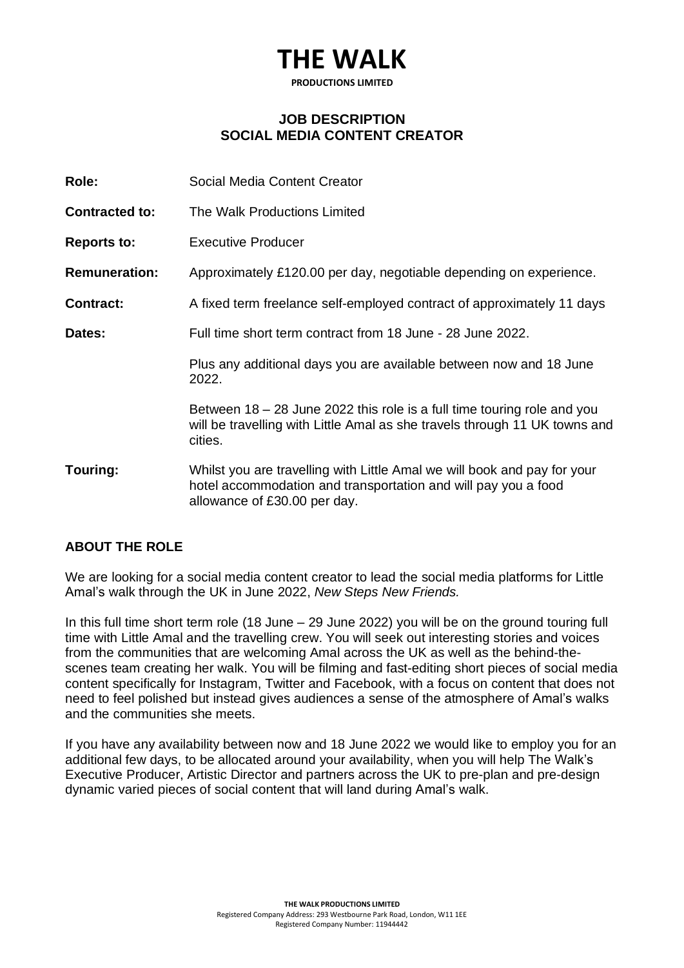### **THE WALK**

**PRODUCTIONS LIMITED**

#### **JOB DESCRIPTION SOCIAL MEDIA CONTENT CREATOR**

| Role:                 | Social Media Content Creator                                                                                                                                               |
|-----------------------|----------------------------------------------------------------------------------------------------------------------------------------------------------------------------|
| <b>Contracted to:</b> | The Walk Productions Limited                                                                                                                                               |
| <b>Reports to:</b>    | <b>Executive Producer</b>                                                                                                                                                  |
| <b>Remuneration:</b>  | Approximately £120.00 per day, negotiable depending on experience.                                                                                                         |
| <b>Contract:</b>      | A fixed term freelance self-employed contract of approximately 11 days                                                                                                     |
| Dates:                | Full time short term contract from 18 June - 28 June 2022.                                                                                                                 |
|                       | Plus any additional days you are available between now and 18 June<br>2022.                                                                                                |
|                       | Between 18 – 28 June 2022 this role is a full time touring role and you<br>will be travelling with Little Amal as she travels through 11 UK towns and<br>cities.           |
| Touring:              | Whilst you are travelling with Little Amal we will book and pay for your<br>hotel accommodation and transportation and will pay you a food<br>allowance of £30.00 per day. |

#### **ABOUT THE ROLE**

We are looking for a social media content creator to lead the social media platforms for Little Amal's walk through the UK in June 2022, *New Steps New Friends.*

In this full time short term role (18 June – 29 June 2022) you will be on the ground touring full time with Little Amal and the travelling crew. You will seek out interesting stories and voices from the communities that are welcoming Amal across the UK as well as the behind-thescenes team creating her walk. You will be filming and fast-editing short pieces of social media content specifically for Instagram, Twitter and Facebook, with a focus on content that does not need to feel polished but instead gives audiences a sense of the atmosphere of Amal's walks and the communities she meets.

If you have any availability between now and 18 June 2022 we would like to employ you for an additional few days, to be allocated around your availability, when you will help The Walk's Executive Producer, Artistic Director and partners across the UK to pre-plan and pre-design dynamic varied pieces of social content that will land during Amal's walk.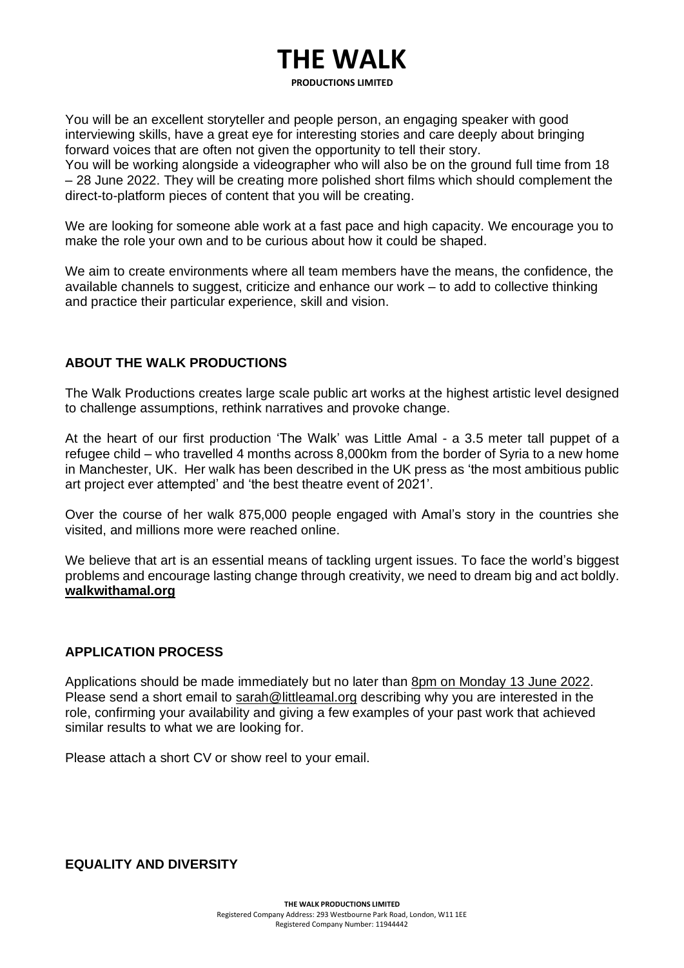# **THE WALK**

**PRODUCTIONS LIMITED**

You will be an excellent storyteller and people person, an engaging speaker with good interviewing skills, have a great eye for interesting stories and care deeply about bringing forward voices that are often not given the opportunity to tell their story.

You will be working alongside a videographer who will also be on the ground full time from 18 – 28 June 2022. They will be creating more polished short films which should complement the direct-to-platform pieces of content that you will be creating.

We are looking for someone able work at a fast pace and high capacity. We encourage you to make the role your own and to be curious about how it could be shaped.

We aim to create environments where all team members have the means, the confidence, the available channels to suggest, criticize and enhance our work – to add to collective thinking and practice their particular experience, skill and vision.

#### **ABOUT THE WALK PRODUCTIONS**

The Walk Productions creates large scale public art works at the highest artistic level designed to challenge assumptions, rethink narratives and provoke change.

At the heart of our first production 'The Walk' was Little Amal - a 3.5 meter tall puppet of a refugee child – who travelled 4 months across 8,000km from the border of Syria to a new home in Manchester, UK. Her walk has been described in the UK press as 'the most ambitious public art project ever attempted' and 'the best theatre event of 2021'.

Over the course of her walk 875,000 people engaged with Amal's story in the countries she visited, and millions more were reached online.

We believe that art is an essential means of tackling urgent issues. To face the world's biggest problems and encourage lasting change through creativity, we need to dream big and act boldly. **[walkwithamal.org](http://walkwithamal.org/)**

#### **APPLICATION PROCESS**

Applications should be made immediately but no later than 8pm on Monday 13 June 2022. Please send a short email to [sarah@littleamal.org](mailto:sarah@littleamal.org) describing why you are interested in the role, confirming your availability and giving a few examples of your past work that achieved similar results to what we are looking for.

Please attach a short CV or show reel to your email.

**EQUALITY AND DIVERSITY**